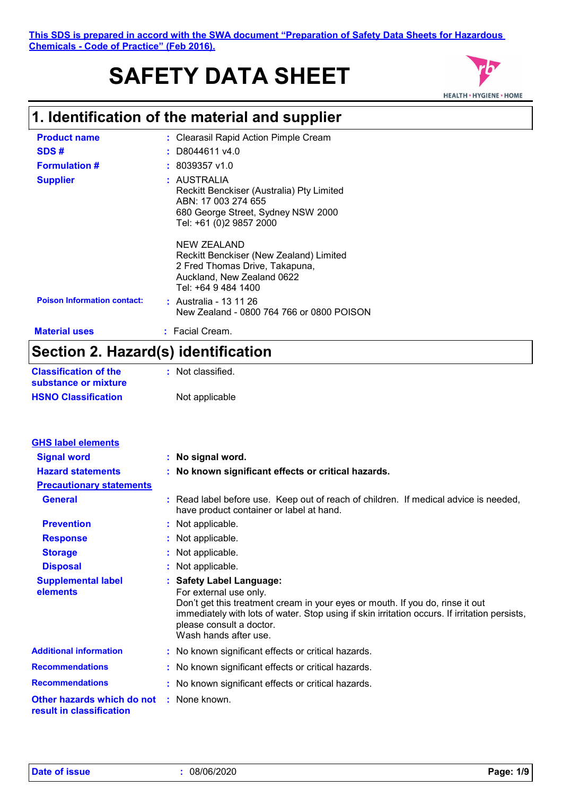# **SAFETY DATA SHEET**



## **1. Identification of the material and supplier**

| <b>Product name</b>                | : Clearasil Rapid Action Pimple Cream                                                                                                            |
|------------------------------------|--------------------------------------------------------------------------------------------------------------------------------------------------|
| SDS#                               | $:$ D8044611 v4.0                                                                                                                                |
| <b>Formulation #</b>               | $: 8039357$ v1.0                                                                                                                                 |
| <b>Supplier</b>                    | : AUSTRALIA<br>Reckitt Benckiser (Australia) Pty Limited<br>ABN: 17 003 274 655<br>680 George Street, Sydney NSW 2000<br>Tel: +61 (0)2 9857 2000 |
|                                    | NEW ZEALAND<br>Reckitt Benckiser (New Zealand) Limited<br>2 Fred Thomas Drive, Takapuna,<br>Auckland, New Zealand 0622<br>Tel: +64 9 484 1400    |
| <b>Poison Information contact:</b> | : Australia - 13 11 26<br>New Zealand - 0800 764 766 or 0800 POISON                                                                              |
| <b>Material uses</b>               | $:$ Facial Cream.                                                                                                                                |

## **Section 2. Hazard(s) identification**

| <b>Classification of the</b> | : Not classified. |
|------------------------------|-------------------|
| substance or mixture         |                   |
| <b>HSNO Classification</b>   | Not applicable    |

| <b>GHS label elements</b>                              |                                                                                                                                                                                                                                                                                           |
|--------------------------------------------------------|-------------------------------------------------------------------------------------------------------------------------------------------------------------------------------------------------------------------------------------------------------------------------------------------|
| <b>Signal word</b>                                     | : No signal word.                                                                                                                                                                                                                                                                         |
| <b>Hazard statements</b>                               | : No known significant effects or critical hazards.                                                                                                                                                                                                                                       |
| <b>Precautionary statements</b>                        |                                                                                                                                                                                                                                                                                           |
| <b>General</b>                                         | : Read label before use. Keep out of reach of children. If medical advice is needed,<br>have product container or label at hand.                                                                                                                                                          |
| <b>Prevention</b>                                      | : Not applicable.                                                                                                                                                                                                                                                                         |
| <b>Response</b>                                        | : Not applicable.                                                                                                                                                                                                                                                                         |
| <b>Storage</b>                                         | : Not applicable.                                                                                                                                                                                                                                                                         |
| <b>Disposal</b>                                        | : Not applicable.                                                                                                                                                                                                                                                                         |
| <b>Supplemental label</b><br>elements                  | : Safety Label Language:<br>For external use only.<br>Don't get this treatment cream in your eyes or mouth. If you do, rinse it out<br>immediately with lots of water. Stop using if skin irritation occurs. If irritation persists,<br>please consult a doctor.<br>Wash hands after use. |
| <b>Additional information</b>                          | : No known significant effects or critical hazards.                                                                                                                                                                                                                                       |
| <b>Recommendations</b>                                 | : No known significant effects or critical hazards.                                                                                                                                                                                                                                       |
| <b>Recommendations</b>                                 | : No known significant effects or critical hazards.                                                                                                                                                                                                                                       |
| Other hazards which do not<br>result in classification | : None known.                                                                                                                                                                                                                                                                             |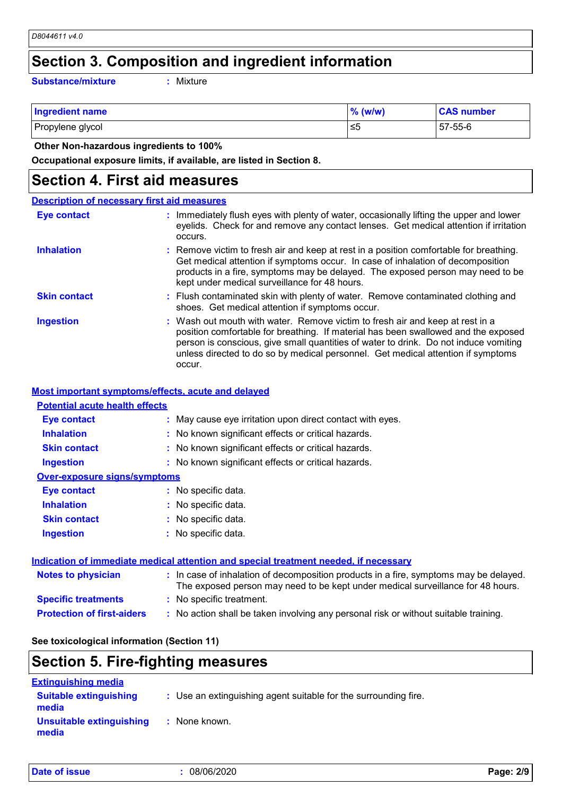### **Section 3. Composition and ingredient information**

**Substance/mixture :**

Mixture

| <b>Ingredient name</b> | $%$ (w/w) | <b>CAS number</b> |
|------------------------|-----------|-------------------|
| Propylene glycol       | 5≥ ا      | 57-55-6           |

 **Other Non-hazardous ingredients to 100%**

**Occupational exposure limits, if available, are listed in Section 8.**

### **Section 4. First aid measures**

#### Wash out mouth with water. Remove victim to fresh air and keep at rest in a position comfortable for breathing. If material has been swallowed and the exposed person is conscious, give small quantities of water to drink. Do not induce vomiting unless directed to do so by medical personnel. Get medical attention if symptoms occur. **:** Immediately flush eyes with plenty of water, occasionally lifting the upper and lower eyelids. Check for and remove any contact lenses. Get medical attention if irritation occurs. Flush contaminated skin with plenty of water. Remove contaminated clothing and **:** shoes. Get medical attention if symptoms occur. Remove victim to fresh air and keep at rest in a position comfortable for breathing. **:** Get medical attention if symptoms occur. In case of inhalation of decomposition products in a fire, symptoms may be delayed. The exposed person may need to be kept under medical surveillance for 48 hours. **Eye contact Skin contact Inhalation Ingestion : Description of necessary first aid measures**

#### **Most important symptoms/effects, acute and delayed**

### **Potential acute health effects**

| <b>Eye contact</b>                  | : May cause eye irritation upon direct contact with eyes.                             |
|-------------------------------------|---------------------------------------------------------------------------------------|
| <b>Inhalation</b>                   | : No known significant effects or critical hazards.                                   |
| <b>Skin contact</b>                 | : No known significant effects or critical hazards.                                   |
| <b>Ingestion</b>                    | : No known significant effects or critical hazards.                                   |
| <b>Over-exposure signs/symptoms</b> |                                                                                       |
| <b>Eye contact</b>                  | : No specific data.                                                                   |
| <b>Inhalation</b>                   | : No specific data.                                                                   |
| <b>Skin contact</b>                 | : No specific data.                                                                   |
| <b>Ingestion</b>                    | : No specific data.                                                                   |
|                                     | Indication of immediate medical attention and special treatment needed, if necessary  |
| <b>Notes to physician</b>           | : In case of inhalation of decomposition products in a fire, symptoms may be delayed. |

|                                   | The exposed person may need to be kept under medical surveillance for 48 hours.    |
|-----------------------------------|------------------------------------------------------------------------------------|
| <b>Specific treatments</b>        | : No specific treatment.                                                           |
| <b>Protection of first-aiders</b> | No action shall be taken involving any personal risk or without suitable training. |

### **See toxicological information (Section 11)**

## **Section 5. Fire-fighting measures**

| <b>Extinguishing media</b>             |                                                                 |
|----------------------------------------|-----------------------------------------------------------------|
| <b>Suitable extinguishing</b><br>media | : Use an extinguishing agent suitable for the surrounding fire. |
| Unsuitable extinguishing<br>media      | : None known.                                                   |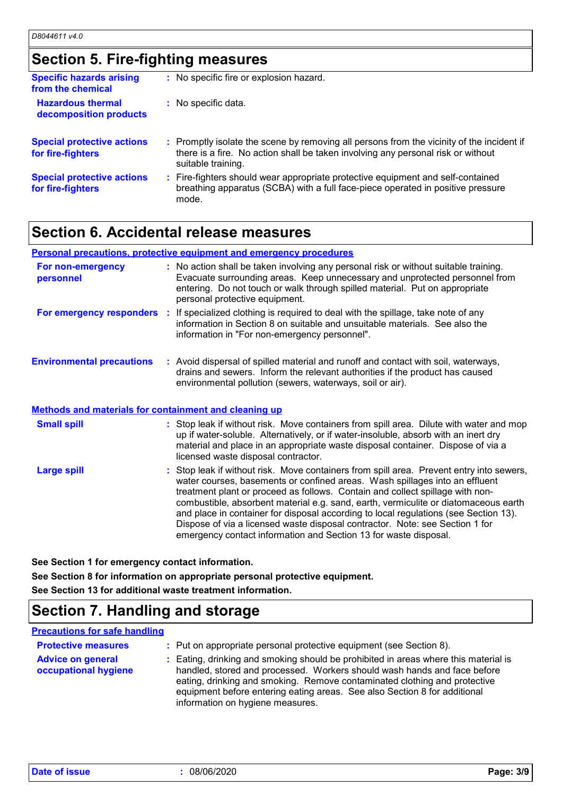## **Section 5. Fire-fighting measures**

| <b>Specific hazards arising</b><br>from the chemical   | : No specific fire or explosion hazard.                                                                                                                                                             |
|--------------------------------------------------------|-----------------------------------------------------------------------------------------------------------------------------------------------------------------------------------------------------|
| <b>Hazardous thermal</b><br>decomposition products     | : No specific data.                                                                                                                                                                                 |
| <b>Special protective actions</b><br>for fire-fighters | : Promptly isolate the scene by removing all persons from the vicinity of the incident if<br>there is a fire. No action shall be taken involving any personal risk or without<br>suitable training. |
| <b>Special protective actions</b><br>for fire-fighters | : Fire-fighters should wear appropriate protective equipment and self-contained<br>breathing apparatus (SCBA) with a full face-piece operated in positive pressure<br>mode.                         |

## **Section 6. Accidental release measures**

|                                                              | <b>Personal precautions, protective equipment and emergency procedures</b>                                                                                                                                                                                                                                                                                                                                                                                                                                                                                                                  |
|--------------------------------------------------------------|---------------------------------------------------------------------------------------------------------------------------------------------------------------------------------------------------------------------------------------------------------------------------------------------------------------------------------------------------------------------------------------------------------------------------------------------------------------------------------------------------------------------------------------------------------------------------------------------|
| For non-emergency<br>personnel                               | : No action shall be taken involving any personal risk or without suitable training.<br>Evacuate surrounding areas. Keep unnecessary and unprotected personnel from<br>entering. Do not touch or walk through spilled material. Put on appropriate<br>personal protective equipment.                                                                                                                                                                                                                                                                                                        |
|                                                              | For emergency responders : If specialized clothing is required to deal with the spillage, take note of any<br>information in Section 8 on suitable and unsuitable materials. See also the<br>information in "For non-emergency personnel".                                                                                                                                                                                                                                                                                                                                                  |
| <b>Environmental precautions</b>                             | : Avoid dispersal of spilled material and runoff and contact with soil, waterways,<br>drains and sewers. Inform the relevant authorities if the product has caused<br>environmental pollution (sewers, waterways, soil or air).                                                                                                                                                                                                                                                                                                                                                             |
| <b>Methods and materials for containment and cleaning up</b> |                                                                                                                                                                                                                                                                                                                                                                                                                                                                                                                                                                                             |
| <b>Small spill</b>                                           | : Stop leak if without risk. Move containers from spill area. Dilute with water and mop<br>up if water-soluble. Alternatively, or if water-insoluble, absorb with an inert dry<br>material and place in an appropriate waste disposal container. Dispose of via a<br>licensed waste disposal contractor.                                                                                                                                                                                                                                                                                    |
| <b>Large spill</b>                                           | : Stop leak if without risk. Move containers from spill area. Prevent entry into sewers,<br>water courses, basements or confined areas. Wash spillages into an effluent<br>treatment plant or proceed as follows. Contain and collect spillage with non-<br>combustible, absorbent material e.g. sand, earth, vermiculite or diatomaceous earth<br>and place in container for disposal according to local regulations (see Section 13).<br>Dispose of via a licensed waste disposal contractor. Note: see Section 1 for<br>emergency contact information and Section 13 for waste disposal. |

**See Section 1 for emergency contact information.**

**See Section 8 for information on appropriate personal protective equipment.**

**See Section 13 for additional waste treatment information.**

## **Section 7. Handling and storage**

### **Precautions for safe handling**

| <b>Protective measures</b>                       | : Put on appropriate personal protective equipment (see Section 8).                                                                                                                                                                                                                                                                                           |
|--------------------------------------------------|---------------------------------------------------------------------------------------------------------------------------------------------------------------------------------------------------------------------------------------------------------------------------------------------------------------------------------------------------------------|
| <b>Advice on general</b><br>occupational hygiene | : Eating, drinking and smoking should be prohibited in areas where this material is<br>handled, stored and processed. Workers should wash hands and face before<br>eating, drinking and smoking. Remove contaminated clothing and protective<br>equipment before entering eating areas. See also Section 8 for additional<br>information on hygiene measures. |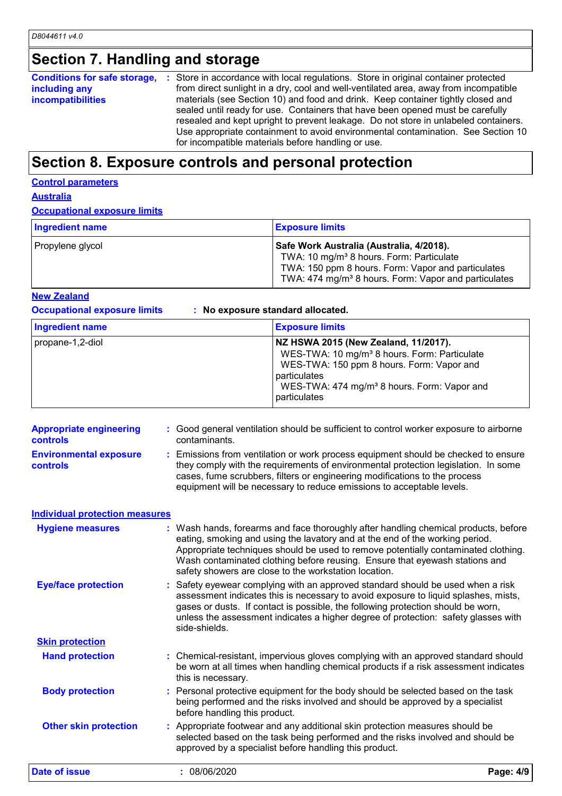## **Section 7. Handling and storage**

**Conditions for safe storage, : Store in accordance with local regulations. Store in original container protected including any incompatibilities** from direct sunlight in a dry, cool and well-ventilated area, away from incompatible materials (see Section 10) and food and drink. Keep container tightly closed and sealed until ready for use. Containers that have been opened must be carefully resealed and kept upright to prevent leakage. Do not store in unlabeled containers. Use appropriate containment to avoid environmental contamination. See Section 10 for incompatible materials before handling or use.

## **Section 8. Exposure controls and personal protection**

#### **Control parameters**

**Australia**

#### **Occupational exposure limits**

| <b>Ingredient name</b> | <b>Exposure limits</b>                                                                                                                                                                                                     |
|------------------------|----------------------------------------------------------------------------------------------------------------------------------------------------------------------------------------------------------------------------|
| Propylene glycol       | Safe Work Australia (Australia, 4/2018).<br>TWA: 10 mg/m <sup>3</sup> 8 hours. Form: Particulate<br>TWA: 150 ppm 8 hours. Form: Vapor and particulates<br>TWA: 474 mg/m <sup>3</sup> 8 hours. Form: Vapor and particulates |

**New Zealand**

**Occupational exposure limits : No exposure standard allocated.**

| Ingredient name  | <b>Exposure limits</b>                                                                                                                                                                                                                   |
|------------------|------------------------------------------------------------------------------------------------------------------------------------------------------------------------------------------------------------------------------------------|
| propane-1,2-diol | NZ HSWA 2015 (New Zealand, 11/2017).<br>WES-TWA: 10 mg/m <sup>3</sup> 8 hours. Form: Particulate<br>WES-TWA: 150 ppm 8 hours. Form: Vapor and<br>particulates<br>WES-TWA: 474 mg/m <sup>3</sup> 8 hours. Form: Vapor and<br>particulates |

| <b>Appropriate engineering</b><br><b>controls</b> | : Good general ventilation should be sufficient to control worker exposure to airborne<br>contaminants. |                                                                                                                                                                                                                                                                                                                                                                                                   |           |
|---------------------------------------------------|---------------------------------------------------------------------------------------------------------|---------------------------------------------------------------------------------------------------------------------------------------------------------------------------------------------------------------------------------------------------------------------------------------------------------------------------------------------------------------------------------------------------|-----------|
| <b>Environmental exposure</b><br><b>controls</b>  |                                                                                                         | : Emissions from ventilation or work process equipment should be checked to ensure<br>they comply with the requirements of environmental protection legislation. In some<br>cases, fume scrubbers, filters or engineering modifications to the process<br>equipment will be necessary to reduce emissions to acceptable levels.                                                                   |           |
| <b>Individual protection measures</b>             |                                                                                                         |                                                                                                                                                                                                                                                                                                                                                                                                   |           |
| <b>Hygiene measures</b>                           |                                                                                                         | : Wash hands, forearms and face thoroughly after handling chemical products, before<br>eating, smoking and using the lavatory and at the end of the working period.<br>Appropriate techniques should be used to remove potentially contaminated clothing.<br>Wash contaminated clothing before reusing. Ensure that eyewash stations and<br>safety showers are close to the workstation location. |           |
| <b>Eye/face protection</b>                        |                                                                                                         | : Safety eyewear complying with an approved standard should be used when a risk<br>assessment indicates this is necessary to avoid exposure to liquid splashes, mists,<br>gases or dusts. If contact is possible, the following protection should be worn,<br>unless the assessment indicates a higher degree of protection: safety glasses with<br>side-shields.                                 |           |
| <b>Skin protection</b>                            |                                                                                                         |                                                                                                                                                                                                                                                                                                                                                                                                   |           |
| <b>Hand protection</b>                            |                                                                                                         | : Chemical-resistant, impervious gloves complying with an approved standard should<br>be worn at all times when handling chemical products if a risk assessment indicates<br>this is necessary.                                                                                                                                                                                                   |           |
| <b>Body protection</b>                            |                                                                                                         | : Personal protective equipment for the body should be selected based on the task<br>being performed and the risks involved and should be approved by a specialist<br>before handling this product.                                                                                                                                                                                               |           |
| <b>Other skin protection</b>                      |                                                                                                         | : Appropriate footwear and any additional skin protection measures should be<br>selected based on the task being performed and the risks involved and should be<br>approved by a specialist before handling this product.                                                                                                                                                                         |           |
| Date of issue                                     |                                                                                                         | : 08/06/2020                                                                                                                                                                                                                                                                                                                                                                                      | Page: 4/9 |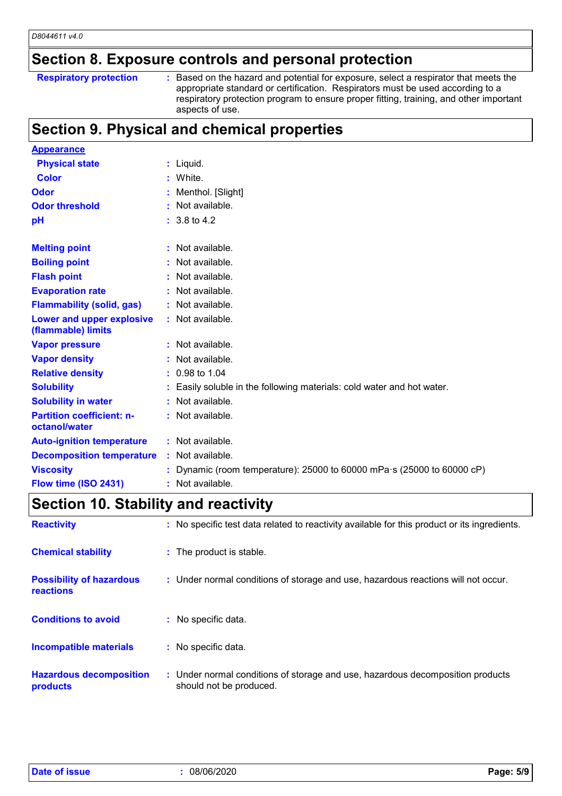## **Section 8. Exposure controls and personal protection**

### **Respiratory protection :**

: Based on the hazard and potential for exposure, select a respirator that meets the appropriate standard or certification. Respirators must be used according to a respiratory protection program to ensure proper fitting, training, and other important aspects of use.

### **Section 9. Physical and chemical properties**

| <b>Appearance</b>                                 |    |                                                                              |
|---------------------------------------------------|----|------------------------------------------------------------------------------|
| <b>Physical state</b>                             |    | $:$ Liquid.                                                                  |
| <b>Color</b>                                      |    | : White.                                                                     |
| Odor                                              |    | Menthol. [Slight]                                                            |
| <b>Odor threshold</b>                             |    | Not available.                                                               |
| pH                                                |    | $: 3.8 \text{ to } 4.2$                                                      |
| <b>Melting point</b>                              |    | : Not available.                                                             |
| <b>Boiling point</b>                              |    | Not available.                                                               |
| <b>Flash point</b>                                |    | Not available.                                                               |
| <b>Evaporation rate</b>                           | ÷. | Not available.                                                               |
| <b>Flammability (solid, gas)</b>                  |    | : Not available.                                                             |
| Lower and upper explosive<br>(flammable) limits   |    | : Not available.                                                             |
| <b>Vapor pressure</b>                             |    | : Not available.                                                             |
| <b>Vapor density</b>                              |    | Not available.                                                               |
| <b>Relative density</b>                           |    | $: 0.98$ to 1.04                                                             |
| <b>Solubility</b>                                 |    | Easily soluble in the following materials: cold water and hot water.         |
| <b>Solubility in water</b>                        |    | : Not available.                                                             |
| <b>Partition coefficient: n-</b><br>octanol/water |    | $:$ Not available.                                                           |
| <b>Auto-ignition temperature</b>                  |    | : Not available.                                                             |
| <b>Decomposition temperature</b>                  |    | : Not available.                                                             |
| <b>Viscosity</b>                                  |    | Dynamic (room temperature): 25000 to 60000 mPa $\cdot$ s (25000 to 60000 cP) |
| Flow time (ISO 2431)                              |    | : Not available.                                                             |

## **Section 10. Stability and reactivity**

| <b>Reactivity</b>                            | : No specific test data related to reactivity available for this product or its ingredients.              |
|----------------------------------------------|-----------------------------------------------------------------------------------------------------------|
| <b>Chemical stability</b>                    | : The product is stable.                                                                                  |
| <b>Possibility of hazardous</b><br>reactions | : Under normal conditions of storage and use, hazardous reactions will not occur.                         |
| <b>Conditions to avoid</b>                   | : No specific data.                                                                                       |
| Incompatible materials                       | : No specific data.                                                                                       |
| <b>Hazardous decomposition</b><br>products   | : Under normal conditions of storage and use, hazardous decomposition products<br>should not be produced. |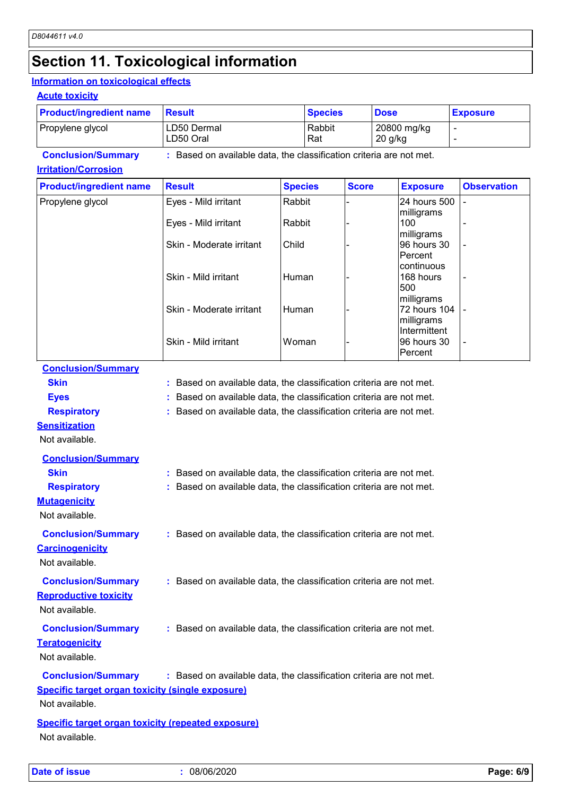## **Section 11. Toxicological information**

### **Information on toxicological effects**

#### **Acute toxicity**

| <b>Product/ingredient name</b> | Result                   | <b>Species</b> | <b>Dose</b>              | <b>Exposure</b> |
|--------------------------------|--------------------------|----------------|--------------------------|-----------------|
| Propylene glycol               | LD50 Dermal<br>LD50 Oral | Rabbit<br>Rat  | 20800 mg/kg<br>$20$ g/kg |                 |

**Conclusion/Summary :** Based on available data, the classification criteria are not met.

### **Irritation/Corrosion**

| <b>Product/ingredient name</b> | <b>Result</b>            | <b>Species</b> | <b>Score</b> | <b>Exposure</b>                            | <b>Observation</b>       |
|--------------------------------|--------------------------|----------------|--------------|--------------------------------------------|--------------------------|
| Propylene glycol               | Eyes - Mild irritant     | Rabbit         |              | 24 hours 500<br>milligrams                 |                          |
|                                | Eyes - Mild irritant     | Rabbit         |              | 100<br>milligrams                          |                          |
|                                | Skin - Moderate irritant | Child          |              | 96 hours 30<br>IPercent<br>Icontinuous     | $\overline{\phantom{a}}$ |
|                                | Skin - Mild irritant     | Human          |              | 168 hours<br>500<br>milligrams             | $\overline{\phantom{0}}$ |
|                                | Skin - Moderate irritant | Human          |              | 72 hours 104<br>milligrams<br>Intermittent | $\overline{\phantom{a}}$ |
|                                | Skin - Mild irritant     | Woman          |              | l96 hours 30<br>IPercent                   | $\overline{\phantom{a}}$ |

#### **Conclusion/Summary**

**Skin :** Based on available data, the classification criteria are not met.

**Eyes Exercise 2.1 EXECUTE:** Based on available data, the classification criteria are not met.

**Respiratory :** Based on available data, the classification criteria are not met.

### **Sensitization**

Not available.

| <b>Conclusion/Summary</b>                               |                                                                     |
|---------------------------------------------------------|---------------------------------------------------------------------|
| <b>Skin</b>                                             | : Based on available data, the classification criteria are not met. |
| <b>Respiratory</b>                                      | : Based on available data, the classification criteria are not met. |
| <b>Mutagenicity</b>                                     |                                                                     |
| Not available.                                          |                                                                     |
| <b>Conclusion/Summary</b>                               | : Based on available data, the classification criteria are not met. |
| <b>Carcinogenicity</b>                                  |                                                                     |
| Not available.                                          |                                                                     |
| <b>Conclusion/Summary</b>                               | : Based on available data, the classification criteria are not met. |
| <b>Reproductive toxicity</b>                            |                                                                     |
| Not available.                                          |                                                                     |
| <b>Conclusion/Summary</b>                               | : Based on available data, the classification criteria are not met. |
| <b>Teratogenicity</b>                                   |                                                                     |
| Not available.                                          |                                                                     |
| <b>Conclusion/Summary</b>                               | : Based on available data, the classification criteria are not met. |
| <b>Specific target organ toxicity (single exposure)</b> |                                                                     |
| Not available.                                          |                                                                     |
| Specific target organ toxicity (repeated exposure)      |                                                                     |

Not available.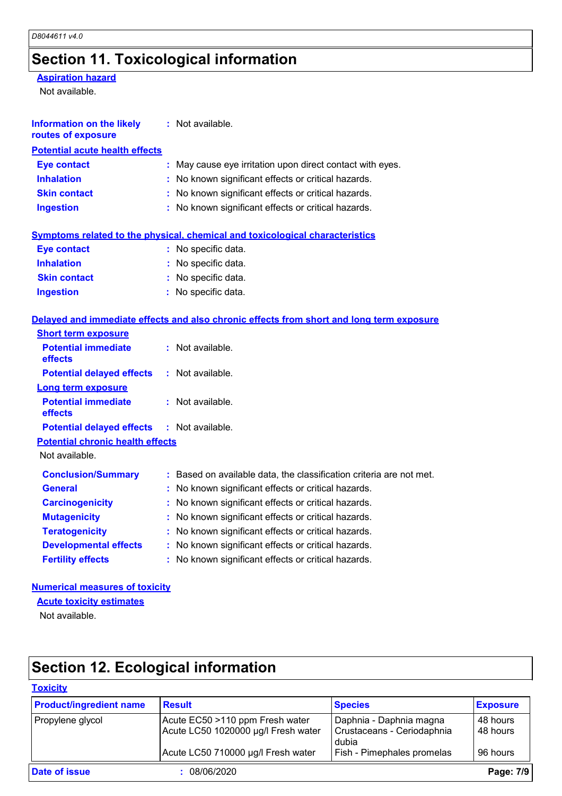## **Section 11. Toxicological information**

### **Aspiration hazard**

Not available.

| <b>Information on the likely</b><br>routes of exposure | : Not available.                                                                         |
|--------------------------------------------------------|------------------------------------------------------------------------------------------|
| <b>Potential acute health effects</b>                  |                                                                                          |
| <b>Eye contact</b>                                     | : May cause eye irritation upon direct contact with eyes.                                |
| <b>Inhalation</b>                                      | : No known significant effects or critical hazards.                                      |
| <b>Skin contact</b>                                    | : No known significant effects or critical hazards.                                      |
| <b>Ingestion</b>                                       | : No known significant effects or critical hazards.                                      |
|                                                        | <b>Symptoms related to the physical, chemical and toxicological characteristics</b>      |
| <b>Eye contact</b>                                     | : No specific data.                                                                      |
| <b>Inhalation</b>                                      | No specific data.                                                                        |
| <b>Skin contact</b>                                    | : No specific data.                                                                      |
| <b>Ingestion</b>                                       | : No specific data.                                                                      |
|                                                        | Delayed and immediate effects and also chronic effects from short and long term exposure |
| <b>Short term exposure</b>                             |                                                                                          |
| <b>Potential immediate</b><br>effects                  | : Not available.                                                                         |
| <b>Potential delayed effects</b>                       | : Not available.                                                                         |
| <b>Long term exposure</b>                              |                                                                                          |
| <b>Potential immediate</b><br>effects                  | : Not available.                                                                         |
| <b>Potential delayed effects</b>                       | : Not available.                                                                         |
| <b>Potential chronic health effects</b>                |                                                                                          |
| Not available.                                         |                                                                                          |
| <b>Conclusion/Summary</b>                              | : Based on available data, the classification criteria are not met.                      |
| <b>General</b>                                         | No known significant effects or critical hazards.                                        |
| <b>Carcinogenicity</b>                                 | : No known significant effects or critical hazards.                                      |
| <b>Mutagenicity</b>                                    | No known significant effects or critical hazards.                                        |
| <b>Teratogenicity</b>                                  | : No known significant effects or critical hazards.                                      |
| <b>Developmental effects</b>                           | : No known significant effects or critical hazards.                                      |
| <b>Fertility effects</b>                               | : No known significant effects or critical hazards.                                      |

### **Numerical measures of toxicity**

**Acute toxicity estimates**

Not available.

# **Section 12. Ecological information**

### **Toxicity**

| <b>Product/ingredient name</b> | <b>Result</b>                       | <b>Species</b>                      | <b>Exposure</b> |
|--------------------------------|-------------------------------------|-------------------------------------|-----------------|
| Propylene glycol               | Acute EC50 >110 ppm Fresh water     | Daphnia - Daphnia magna             | 48 hours        |
|                                | Acute LC50 1020000 µg/l Fresh water | Crustaceans - Ceriodaphnia<br>dubia | 48 hours        |
|                                | Acute LC50 710000 µg/l Fresh water  | Fish - Pimephales promelas          | 96 hours        |
| <b>Date of issue</b>           | 08/06/2020                          |                                     | Page: 7/9       |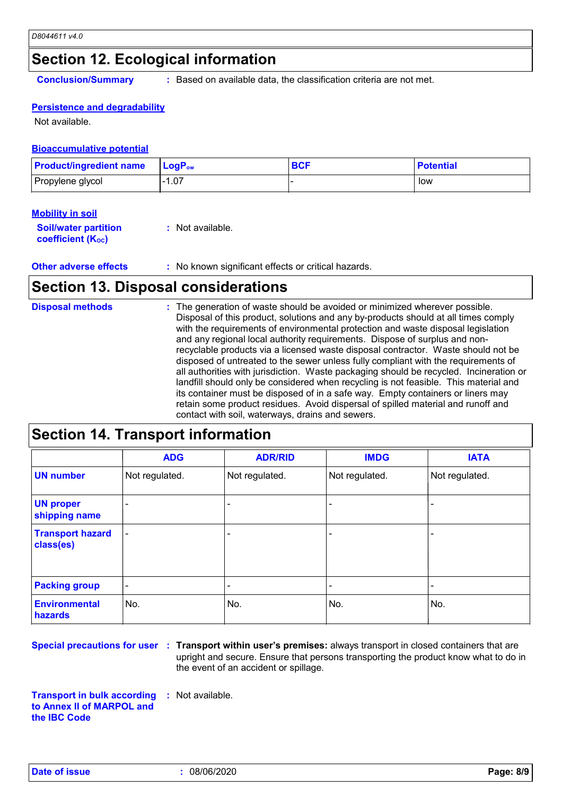## **Section 12. Ecological information**

**Conclusion/Summary :** Based on available data, the classification criteria are not met.

### **Persistence and degradability**

Not available.

#### **Bioaccumulative potential**

| <b>Product/ingredient name</b> | ∣ LoɑP <sub>ow</sub> | ov. | <b>Potential</b> |
|--------------------------------|----------------------|-----|------------------|
| Propylene glycol               | .07                  |     | low              |

### **Mobility in soil**

| <b>Soil/water partition</b> | : Not available. |
|-----------------------------|------------------|
| <b>coefficient (Koc)</b>    |                  |

**Other adverse effects** : No known significant effects or critical hazards.

## **Section 13. Disposal considerations**

| <b>Disposal methods</b> | : The generation of waste should be avoided or minimized wherever possible.<br>Disposal of this product, solutions and any by-products should at all times comply<br>with the requirements of environmental protection and waste disposal legislation<br>and any regional local authority requirements. Dispose of surplus and non-<br>recyclable products via a licensed waste disposal contractor. Waste should not be<br>disposed of untreated to the sewer unless fully compliant with the requirements of<br>all authorities with jurisdiction. Waste packaging should be recycled. Incineration or<br>landfill should only be considered when recycling is not feasible. This material and<br>its container must be disposed of in a safe way. Empty containers or liners may |
|-------------------------|-------------------------------------------------------------------------------------------------------------------------------------------------------------------------------------------------------------------------------------------------------------------------------------------------------------------------------------------------------------------------------------------------------------------------------------------------------------------------------------------------------------------------------------------------------------------------------------------------------------------------------------------------------------------------------------------------------------------------------------------------------------------------------------|
|                         | retain some product residues. Avoid dispersal of spilled material and runoff and<br>contact with soil, waterways, drains and sewers.                                                                                                                                                                                                                                                                                                                                                                                                                                                                                                                                                                                                                                                |

## **Section 14. Transport information**

|                                      | <b>ADG</b>               | <b>ADR/RID</b> | <b>IMDG</b>              | <b>IATA</b>    |
|--------------------------------------|--------------------------|----------------|--------------------------|----------------|
| <b>UN number</b>                     | Not regulated.           | Not regulated. | Not regulated.           | Not regulated. |
| <b>UN proper</b><br>shipping name    | $\qquad \qquad$          |                |                          |                |
| <b>Transport hazard</b><br>class(es) |                          |                | $\overline{\phantom{0}}$ |                |
| <b>Packing group</b>                 | $\overline{\phantom{a}}$ |                |                          |                |
| <b>Environmental</b><br>hazards      | No.                      | No.            | No.                      | No.            |

**Special precautions for user Transport within user's premises:** always transport in closed containers that are **:** upright and secure. Ensure that persons transporting the product know what to do in the event of an accident or spillage.

**Transport in bulk according to Annex II of MARPOL and the IBC Code :** Not available.